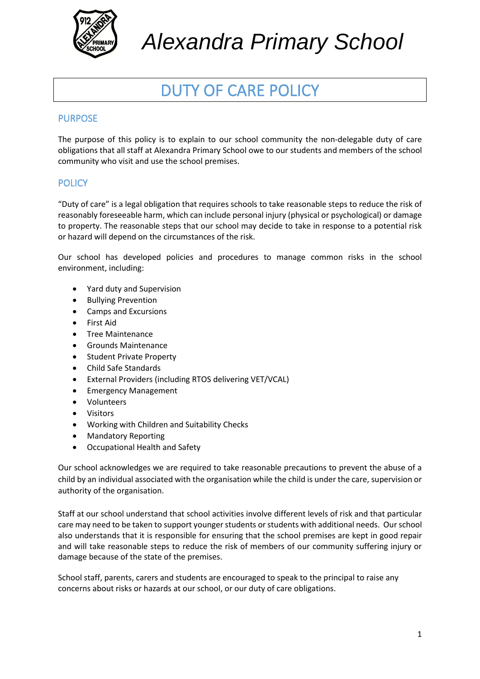

*Alexandra Primary School*

# DUTY OF CARE POLICY

# PURPOSE

The purpose of this policy is to explain to our school community the non-delegable duty of care obligations that all staff at Alexandra Primary School owe to our students and members of the school community who visit and use the school premises.

# **POLICY**

"Duty of care" is a legal obligation that requires schools to take reasonable steps to reduce the risk of reasonably foreseeable harm, which can include personal injury (physical or psychological) or damage to property. The reasonable steps that our school may decide to take in response to a potential risk or hazard will depend on the circumstances of the risk.

Our school has developed policies and procedures to manage common risks in the school environment, including:

- Yard duty and Supervision
- Bullying Prevention
- Camps and Excursions
- First Aid
- Tree Maintenance
- Grounds Maintenance
- Student Private Property
- Child Safe Standards
- External Providers (including RTOS delivering VET/VCAL)
- Emergency Management
- Volunteers
- Visitors
- Working with Children and Suitability Checks
- Mandatory Reporting
- Occupational Health and Safety

Our school acknowledges we are required to take reasonable precautions to prevent the abuse of a child by an individual associated with the organisation while the child is under the care, supervision or authority of the organisation.

Staff at our school understand that school activities involve different levels of risk and that particular care may need to be taken to support younger students or students with additional needs. Our school also understands that it is responsible for ensuring that the school premises are kept in good repair and will take reasonable steps to reduce the risk of members of our community suffering injury or damage because of the state of the premises.

School staff, parents, carers and students are encouraged to speak to the principal to raise any concerns about risks or hazards at our school, or our duty of care obligations.